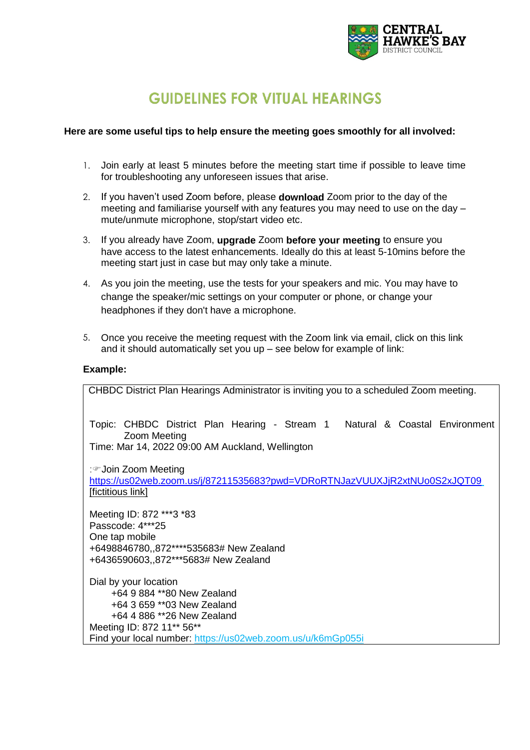

# **GUIDELINES FOR VITUAL HEARINGS**

## **Here are some useful tips to help ensure the meeting goes smoothly for all involved:**

- 1. Join early at least 5 minutes before the meeting start time if possible to leave time for troubleshooting any unforeseen issues that arise.
- 2. If you haven't used Zoom before, please **download** Zoom prior to the day of the meeting and familiarise yourself with any features you may need to use on the day – mute/unmute microphone, stop/start video etc.
- 3. If you already have Zoom, **upgrade** Zoom **before your meeting** to ensure you have access to the latest enhancements. Ideally do this at least 5-10mins before the meeting start just in case but may only take a minute.
- 4. As you join the meeting, use the tests for your speakers and mic. You may have to change the speaker/mic settings on your computer or phone, or change your headphones if they don't have a microphone.
- 5. Once you receive the meeting request with the Zoom link via email, click on this link and it should automatically set you up – see below for example of link:

#### **Example:**

| CHBDC District Plan Hearings Administrator is inviting you to a scheduled Zoom meeting.                                                           |  |  |  |  |
|---------------------------------------------------------------------------------------------------------------------------------------------------|--|--|--|--|
| Topic: CHBDC District Plan Hearing - Stream 1 Natural & Coastal Environment<br>Zoom Meeting<br>Time: Mar 14, 2022 09:00 AM Auckland, Wellington   |  |  |  |  |
| ∶☞Join Zoom Meeting<br>https://us02web.zoom.us/j/87211535683?pwd=VDRoRTNJazVUUXJjR2xtNUo0S2xJQT09<br>[fictitious link]                            |  |  |  |  |
| Meeting ID: 872 ***3 *83<br>Passcode: 4***25<br>One tap mobile<br>+6498846780,,872****535683# New Zealand<br>+6436590603,,872***5683# New Zealand |  |  |  |  |
| Dial by your location<br>+64 9 884 ** 80 New Zealand<br>+64 3 659 **03 New Zealand<br>+64 4 886 **26 New Zealand<br>Meeting ID: 872 11** 56**     |  |  |  |  |
| Find your local number: https://us02web.zoom.us/u/k6mGp055i                                                                                       |  |  |  |  |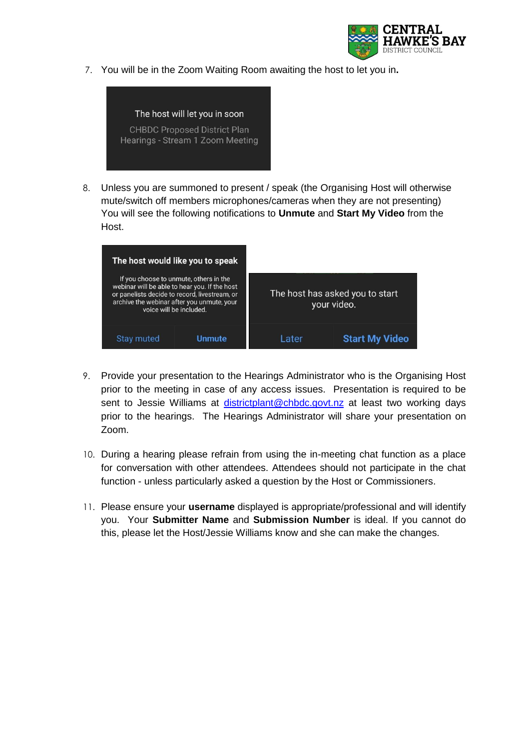

7. You will be in the Zoom Waiting Room awaiting the host to let you in**.**



8. Unless you are summoned to present / speak (the Organising Host will otherwise mute/switch off members microphones/cameras when they are not presenting) You will see the following notifications to **Unmute** and **Start My Video** from the Host.

| The host would like you to speak                                                                                                                                                                                  |                 |       |                                                |
|-------------------------------------------------------------------------------------------------------------------------------------------------------------------------------------------------------------------|-----------------|-------|------------------------------------------------|
| If you choose to unmute, others in the<br>webinar will be able to hear you. If the host<br>or panelists decide to record, livestream, or<br>archive the webinar after you unmute, your<br>voice will be included. |                 |       | The host has asked you to start<br>your video. |
| <b>Stay muted</b>                                                                                                                                                                                                 | <u>I Inmute</u> | Later | <b>Start My Video</b>                          |

- 9. Provide your presentation to the Hearings Administrator who is the Organising Host prior to the meeting in case of any access issues. Presentation is required to be sent to Jessie Williams at [districtplant@chbdc.govt.nz](mailto:districtplant@chbdc.govt.nz) at least two working days prior to the hearings. The Hearings Administrator will share your presentation on Zoom.
- 10. During a hearing please refrain from using the in-meeting chat function as a place for conversation with other attendees. Attendees should not participate in the chat function - unless particularly asked a question by the Host or Commissioners.
- 11. Please ensure your **username** displayed is appropriate/professional and will identify you. Your **Submitter Name** and **Submission Number** is ideal. If you cannot do this, please let the Host/Jessie Williams know and she can make the changes.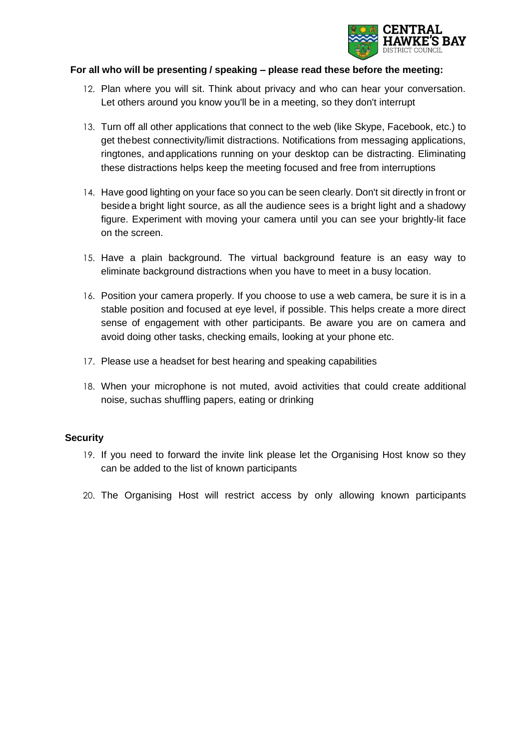

# **For all who will be presenting / speaking – please read these before the meeting:**

- 12. Plan where you will sit. Think about privacy and who can hear your conversation. Let others around you know you'll be in a meeting, so they don't interrupt
- 13. Turn off all other applications that connect to the web (like Skype, Facebook, etc.) to get thebest connectivity/limit distractions. Notifications from messaging applications, ringtones, andapplications running on your desktop can be distracting. Eliminating these distractions helps keep the meeting focused and free from interruptions
- 14. Have good lighting on your face so you can be seen clearly. Don't sit directly in front or besidea bright light source, as all the audience sees is a bright light and a shadowy figure. Experiment with moving your camera until you can see your brightly-lit face on the screen.
- 15. Have a plain background. The virtual background feature is an easy way to eliminate background distractions when you have to meet in a busy location.
- 16. Position your camera properly. If you choose to use a web camera, be sure it is in a stable position and focused at eye level, if possible. This helps create a more direct sense of engagement with other participants. Be aware you are on camera and avoid doing other tasks, checking emails, looking at your phone etc.
- 17. Please use a headset for best hearing and speaking capabilities
- 18. When your microphone is not muted, avoid activities that could create additional noise, suchas shuffling papers, eating or drinking

## **Security**

- 19. If you need to forward the invite link please let the Organising Host know so they can be added to the list of known participants
- 20. The Organising Host will restrict access by only allowing known participants